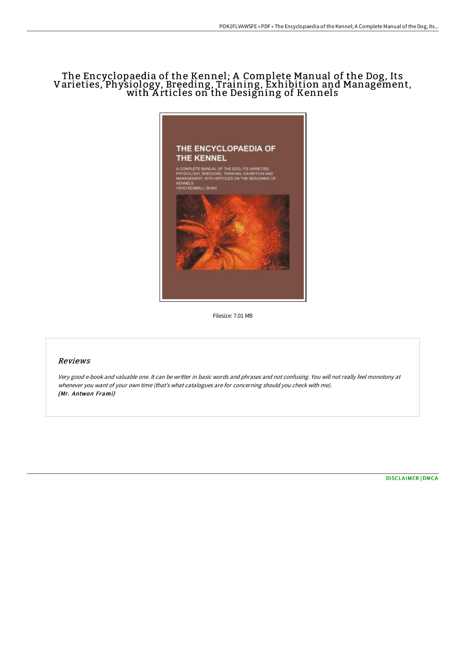# The Encyclopaedia of the Kennel; A Complete Manual of the Dog, Its Varieties, Physiology, Breeding, Training, Exhibition and Management, with <sup>A</sup> rticles on the Designing of Kennels



Filesize: 7.01 MB

### Reviews

Very good e-book and valuable one. It can be writter in basic words and phrases and not confusing. You will not really feel monotony at whenever you want of your own time (that's what catalogues are for concerning should you check with me). (Mr. Antwon Frami)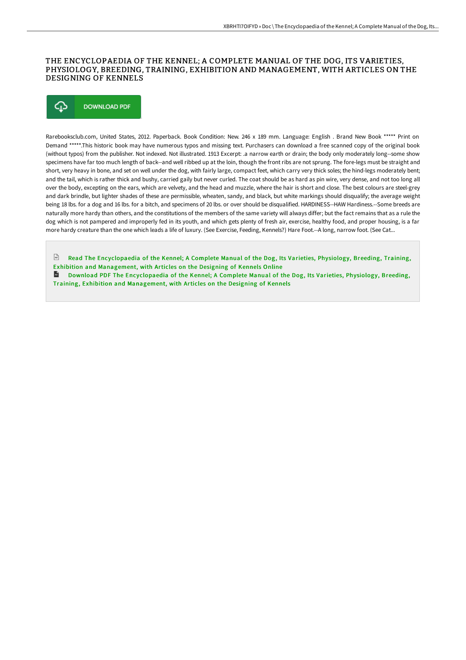#### THE ENCYCLOPAEDIA OF THE KENNEL; A COMPLETE MANUAL OF THE DOG, ITS VARIETIES, PHYSIOLOGY, BREEDING, TRAINING, EXHIBITION AND MANAGEMENT, WITH ARTICLES ON THE DESIGNING OF KENNELS

#### ⊕ **DOWNLOAD PDF**

Rarebooksclub.com, United States, 2012. Paperback. Book Condition: New. 246 x 189 mm. Language: English . Brand New Book \*\*\*\*\* Print on Demand \*\*\*\*\*.This historic book may have numerous typos and missing text. Purchasers can download a free scanned copy of the original book (without typos) from the publisher. Not indexed. Not illustrated. 1913 Excerpt: .a narrow earth or drain; the body only moderately long--some show specimens have far too much length of back--and well ribbed up at the loin, though the front ribs are not sprung. The fore-legs must be straight and short, very heavy in bone, and set on well under the dog, with fairly large, compact feet, which carry very thick soles; the hind-legs moderately bent; and the tail, which is rather thick and bushy, carried gaily but never curled. The coat should be as hard as pin wire, very dense, and not too long all over the body, excepting on the ears, which are velvety, and the head and muzzle, where the hair is short and close. The best colours are steel-grey and dark brindle, but lighter shades of these are permissible, wheaten, sandy, and black, but white markings should disqualify; the average weight being 18 lbs. for a dog and 16 lbs. for a bitch, and specimens of 20 lbs. or over should be disqualified. HARDINESS--HAW Hardiness.--Some breeds are naturally more hardy than others, and the constitutions of the members of the same variety will always differ; but the fact remains that as a rule the dog which is not pampered and improperly fed in its youth, and which gets plenty of fresh air, exercise, healthy food, and proper housing, is a far more hardy creature than the one which leads a life of luxury. (See Exercise, Feeding, Kennels?) Hare Foot.--A long, narrow foot. (See Cat...

Read The [Encyclopaedia](http://albedo.media/the-encyclopaedia-of-the-kennel-a-complete-manua.html) of the Kennel; A Complete Manual of the Dog, Its Varieties, Physiology, Breeding, Training, Exhibition and Management, with Articles on the Designing of Kennels Online **Download PDF The [Encyclopaedia](http://albedo.media/the-encyclopaedia-of-the-kennel-a-complete-manua.html) of the Kennel; A Complete Manual of the Dog, Its Varieties, Physiology, Breeding,** Training, Exhibition and Management, with Articles on the Designing of Kennels